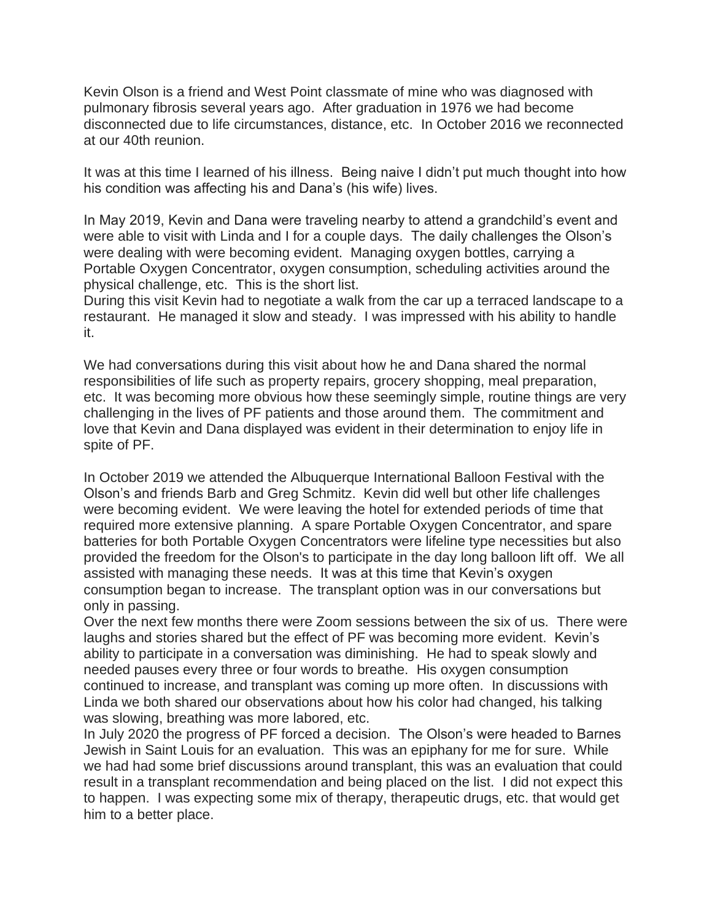Kevin Olson is a friend and West Point classmate of mine who was diagnosed with pulmonary fibrosis several years ago. After graduation in 1976 we had become disconnected due to life circumstances, distance, etc. In October 2016 we reconnected at our 40th reunion.

It was at this time I learned of his illness. Being naive I didn't put much thought into how his condition was affecting his and Dana's (his wife) lives.

In May 2019, Kevin and Dana were traveling nearby to attend a grandchild's event and were able to visit with Linda and I for a couple days. The daily challenges the Olson's were dealing with were becoming evident. Managing oxygen bottles, carrying a Portable Oxygen Concentrator, oxygen consumption, scheduling activities around the physical challenge, etc. This is the short list.

During this visit Kevin had to negotiate a walk from the car up a terraced landscape to a restaurant. He managed it slow and steady. I was impressed with his ability to handle it.

We had conversations during this visit about how he and Dana shared the normal responsibilities of life such as property repairs, grocery shopping, meal preparation, etc. It was becoming more obvious how these seemingly simple, routine things are very challenging in the lives of PF patients and those around them. The commitment and love that Kevin and Dana displayed was evident in their determination to enjoy life in spite of PF.

In October 2019 we attended the Albuquerque International Balloon Festival with the Olson's and friends Barb and Greg Schmitz. Kevin did well but other life challenges were becoming evident. We were leaving the hotel for extended periods of time that required more extensive planning. A spare Portable Oxygen Concentrator, and spare batteries for both Portable Oxygen Concentrators were lifeline type necessities but also provided the freedom for the Olson's to participate in the day long balloon lift off. We all assisted with managing these needs. It was at this time that Kevin's oxygen consumption began to increase. The transplant option was in our conversations but only in passing.

Over the next few months there were Zoom sessions between the six of us. There were laughs and stories shared but the effect of PF was becoming more evident. Kevin's ability to participate in a conversation was diminishing. He had to speak slowly and needed pauses every three or four words to breathe. His oxygen consumption continued to increase, and transplant was coming up more often. In discussions with Linda we both shared our observations about how his color had changed, his talking was slowing, breathing was more labored, etc.

In July 2020 the progress of PF forced a decision. The Olson's were headed to Barnes Jewish in Saint Louis for an evaluation. This was an epiphany for me for sure. While we had had some brief discussions around transplant, this was an evaluation that could result in a transplant recommendation and being placed on the list. I did not expect this to happen. I was expecting some mix of therapy, therapeutic drugs, etc. that would get him to a better place.